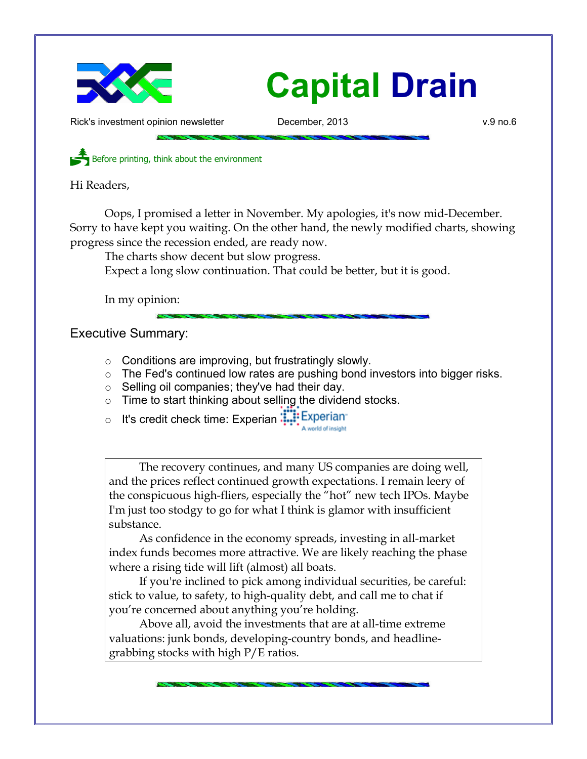

Rick's investment opinion newsletter **December, 2013** v.9 no.6

Before printing, think about the environment

Hi Readers,

Oops, I promised a letter in November. My apologies, it's now mid-December. Sorry to have kept you waiting. On the other hand, the newly modified charts, showing progress since the recession ended, are ready now.

The charts show decent but slow progress.

Expect a long slow continuation. That could be better, but it is good.

In my opinion:

Executive Summary:

- Conditions are improving, but frustratingly slowly.
- o The Fed's continued low rates are pushing bond investors into bigger risks.
- o Selling oil companies; they've had their day.
- $\circ$  Time to start thinking about selling the dividend stocks.
- o It's credit check time: Experian: Experian A world of insight

The recovery continues, and many US companies are doing well, and the prices reflect continued growth expectations. I remain leery of the conspicuous high-fliers, especially the "hot" new tech IPOs. Maybe I'm just too stodgy to go for what I think is glamor with insufficient substance.

As confidence in the economy spreads, investing in all-market index funds becomes more attractive. We are likely reaching the phase where a rising tide will lift (almost) all boats.

If you're inclined to pick among individual securities, be careful: stick to value, to safety, to high-quality debt, and call me to chat if you're concerned about anything you're holding.

Above all, avoid the investments that are at all-time extreme valuations: junk bonds, developing-country bonds, and headlinegrabbing stocks with high P/E ratios.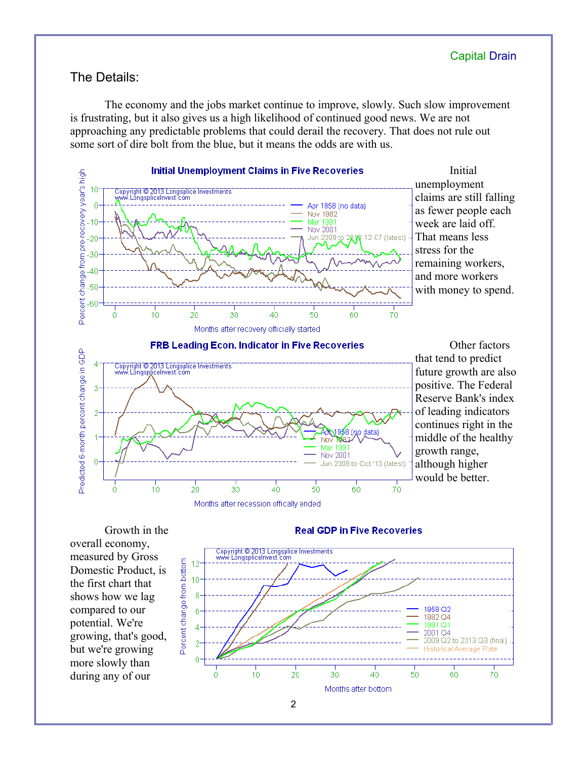# The Details:

The economy and the jobs market continue to improve, slowly. Such slow improvement is frustrating, but it also gives us a high likelihood of continued good news. We are not approaching any predictable problems that could derail the recovery. That does not rule out some sort of dire bolt from the blue, but it means the odds are with us.



Growth in the overall economy, measured by Gross Domestic Product, is the first chart that shows how we lag compared to our potential. We're growing, that's good, but we're growing more slowly than during any of our

#### **Real GDP in Five Recoveries**

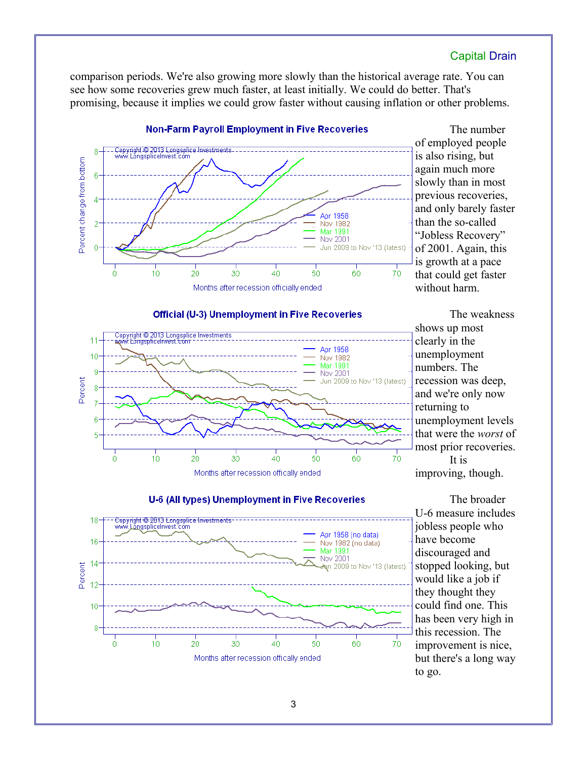comparison periods. We're also growing more slowly than the historical average rate. You can see how some recoveries grew much faster, at least initially. We could do better. That's promising, because it implies we could grow faster without causing inflation or other problems.



The number of employed people is also rising, but again much more slowly than in most previous recoveries, and only barely faster than the so-called "Jobless Recovery" of 2001. Again, this is growth at a pace that could get faster without harm.





The weakness shows up most clearly in the unemployment numbers. The recession was deep, and we're only now returning to unemployment levels that were the *worst* of most prior recoveries. It is improving, though.



The broader U-6 measure includes jobless people who have become discouraged and stopped looking, but would like a job if they thought they could find one. This has been very high in this recession. The improvement is nice, but there's a long way to go.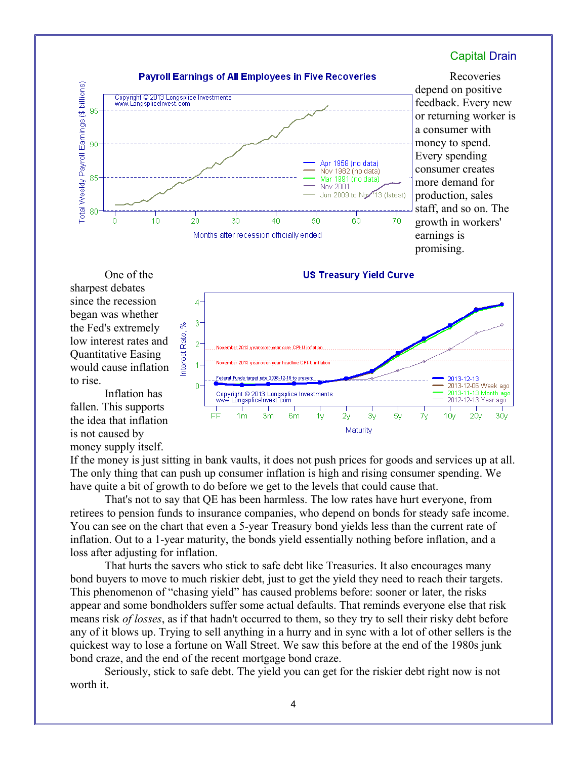

Recoveries depend on positive feedback. Every new or returning worker is a consumer with money to spend. Every spending consumer creates more demand for production, sales staff, and so on. The growth in workers' earnings is promising.

One of the sharpest debates since the recession began was whether the Fed's extremely low interest rates and Quantitative Easing would cause inflation to rise.

Inflation has fallen. This supports the idea that inflation is not caused by money supply itself.



**US Treasury Yield Curve** 

If the money is just sitting in bank vaults, it does not push prices for goods and services up at all. The only thing that can push up consumer inflation is high and rising consumer spending. We have quite a bit of growth to do before we get to the levels that could cause that.

That's not to say that QE has been harmless. The low rates have hurt everyone, from retirees to pension funds to insurance companies, who depend on bonds for steady safe income. You can see on the chart that even a 5-year Treasury bond yields less than the current rate of inflation. Out to a 1-year maturity, the bonds yield essentially nothing before inflation, and a loss after adjusting for inflation.

That hurts the savers who stick to safe debt like Treasuries. It also encourages many bond buyers to move to much riskier debt, just to get the yield they need to reach their targets. This phenomenon of "chasing yield" has caused problems before: sooner or later, the risks appear and some bondholders suffer some actual defaults. That reminds everyone else that risk means risk *of losses*, as if that hadn't occurred to them, so they try to sell their risky debt before any of it blows up. Trying to sell anything in a hurry and in sync with a lot of other sellers is the quickest way to lose a fortune on Wall Street. We saw this before at the end of the 1980s junk bond craze, and the end of the recent mortgage bond craze.

Seriously, stick to safe debt. The yield you can get for the riskier debt right now is not worth it.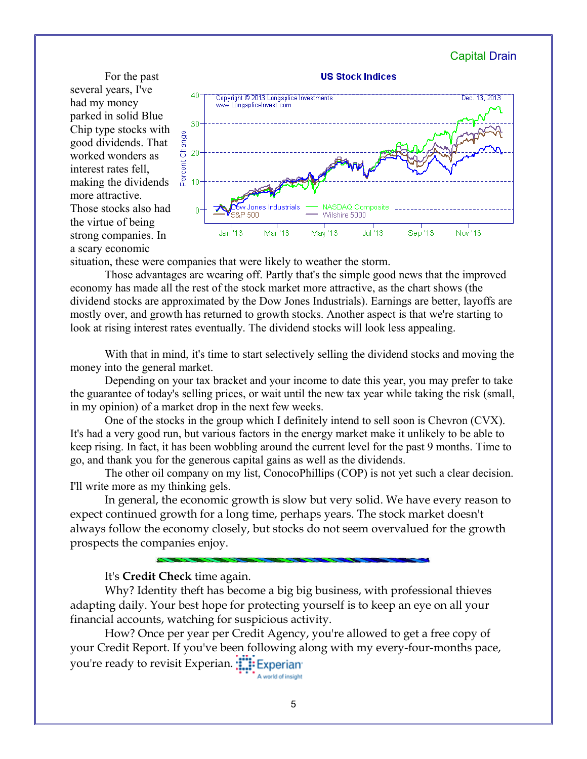For the past several years, I've had my money parked in solid Blue Chip type stocks with good dividends. That worked wonders as interest rates fell, making the dividends more attractive. Those stocks also had the virtue of being strong companies. In a scary economic



situation, these were companies that were likely to weather the storm.

Those advantages are wearing off. Partly that's the simple good news that the improved economy has made all the rest of the stock market more attractive, as the chart shows (the dividend stocks are approximated by the Dow Jones Industrials). Earnings are better, layoffs are mostly over, and growth has returned to growth stocks. Another aspect is that we're starting to look at rising interest rates eventually. The dividend stocks will look less appealing.

With that in mind, it's time to start selectively selling the dividend stocks and moving the money into the general market.

Depending on your tax bracket and your income to date this year, you may prefer to take the guarantee of today's selling prices, or wait until the new tax year while taking the risk (small, in my opinion) of a market drop in the next few weeks.

One of the stocks in the group which I definitely intend to sell soon is Chevron (CVX). It's had a very good run, but various factors in the energy market make it unlikely to be able to keep rising. In fact, it has been wobbling around the current level for the past 9 months. Time to go, and thank you for the generous capital gains as well as the dividends.

The other oil company on my list, ConocoPhillips (COP) is not yet such a clear decision. I'll write more as my thinking gels.

In general, the economic growth is slow but very solid. We have every reason to expect continued growth for a long time, perhaps years. The stock market doesn't always follow the economy closely, but stocks do not seem overvalued for the growth prospects the companies enjoy.

### It's **Credit Check** time again.

Why? Identity theft has become a big big business, with professional thieves adapting daily. Your best hope for protecting yourself is to keep an eye on all your financial accounts, watching for suspicious activity.

How? Once per year per Credit Agency, you're allowed to get a free copy of your Credit Report. If you've been following along with my every-four-months pace, you're ready to revisit Experian. **THE Experian** A world of insight

5